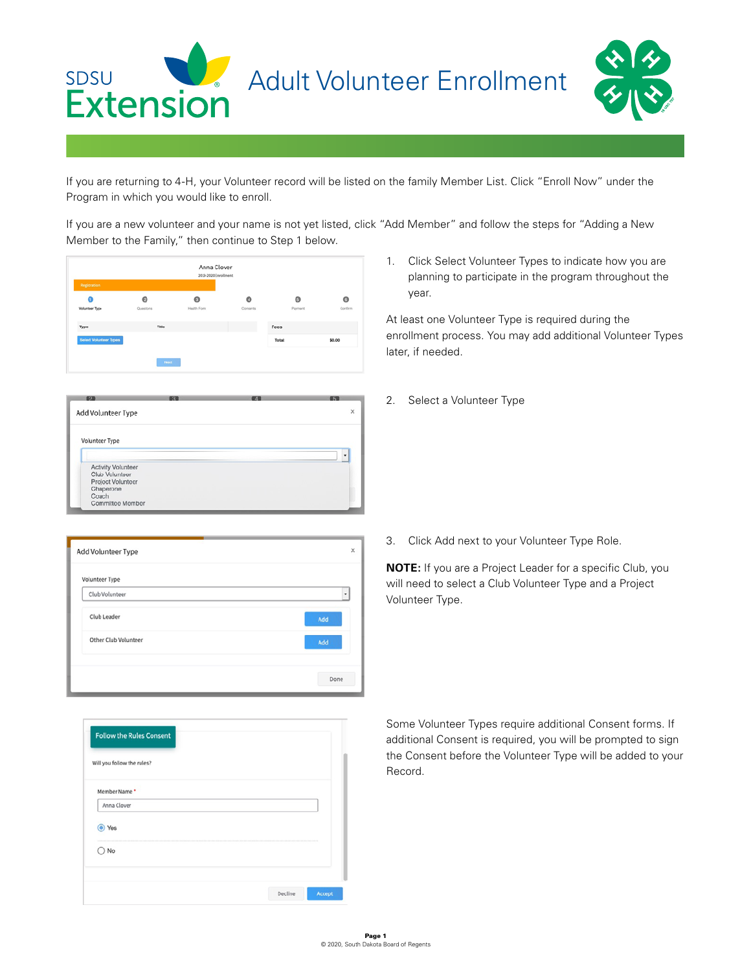

If you are returning to 4-H, your Volunteer record will be listed on the family Member List. Click "Enroll Now" under the Program in which you would like to enroll.

If you are a new volunteer and your name is not yet listed, click "Add Member" and follow the steps for "Adding a New Member to the Family," then continue to Step 1 below.



| <b>O</b> TU | 65       |
|-------------|----------|
|             | $\times$ |
|             |          |
|             | ٠        |
|             |          |
|             |          |
|             |          |
|             |          |
|             |          |
| 收取          |          |

1. Click Select Volunteer Types to indicate how you are planning to participate in the program throughout the year.

At least one Volunteer Type is required during the enrollment process. You may add additional Volunteer Types later, if needed.

2. Select a Volunteer Type

| Volunteer Type       |      |
|----------------------|------|
| Club Volunteer       | ٠    |
| Club Leader          | Add  |
| Other Club Volunteer | Add  |
|                      |      |
|                      | Done |

| 3. Click Add next to your Volunteer Type Role. |
|------------------------------------------------|
|                                                |

**NOTE:** If you are a Project Leader for a specific Club, you will need to select a Club Volunteer Type and a Project Volunteer Type.

| Will you follow the rules? |  |  |
|----------------------------|--|--|
| Member Name *              |  |  |
| Anna Clover                |  |  |
| Yes                        |  |  |
| No                         |  |  |

Some Volunteer Types require additional Consent forms. If additional Consent is required, you will be prompted to sign the Consent before the Volunteer Type will be added to your Record.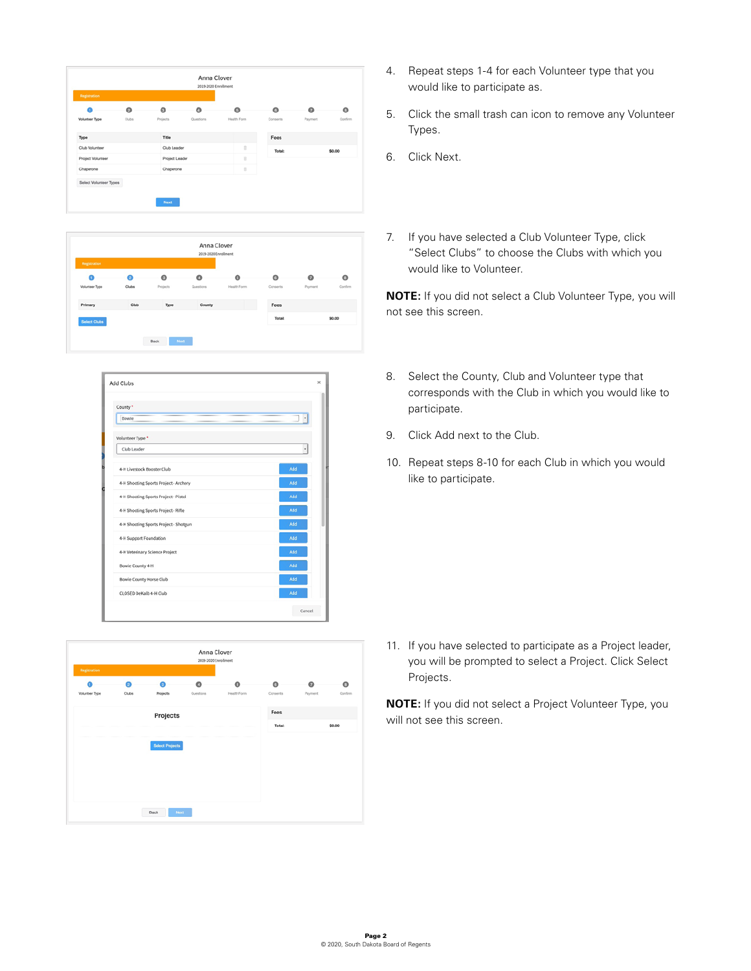| a                     | $\bullet$ | $\bullet$          | O         | $\bullet$   | $\circ$  | $\boldsymbol{\Omega}$ | $\bullet$ |
|-----------------------|-----------|--------------------|-----------|-------------|----------|-----------------------|-----------|
| <b>Volunteer Type</b> | Clubs     | Projects           | Questions | Health Form | Consents | Payment               | Confirm   |
| Type                  |           | Title              |           |             | Fees     |                       |           |
| Club Volunteer        |           | <b>Club Leader</b> |           | ŭ           | Total:   |                       | \$0.00    |
| Project Volunteer     |           | Project Leader     |           | ŭ           |          |                       |           |
| Chaperone             |           | Chaperone          |           | Ė           |          |                       |           |

| Registration               |            |                       | 2019-2020 Enrollment |                          |                     |              |                    |
|----------------------------|------------|-----------------------|----------------------|--------------------------|---------------------|--------------|--------------------|
| a<br><b>Volunteer Type</b> | ໑<br>Clubs | $\bullet$<br>Projects | o<br>Questions       | $\bullet$<br>Health Form | $\circ$<br>Conserts | െ<br>Payment | $\circ$<br>Confirm |
| Primary                    | Club       | Type                  | County               |                          | Fees                |              |                    |
| <b>Select Clubs</b>        |            |                       |                      |                          | Total:              |              | \$0.00             |

| County*                               |     |
|---------------------------------------|-----|
| Bowie                                 |     |
| Volunteer Type *                      |     |
| Club Leader                           | ٠   |
| 4-H Livestock Booster Club            | Add |
| 4-H Shooting Sports Project - Archery | Add |
| 4-H Shooting Sports Project - Pistol  | Add |
| 4-H Shooting Sports Project - Rifle   | Add |
| 4-H Shooting Sports Project - Shotgun | Add |
| 4-H Support Foundation                | Add |
| 4-H Veterinary Science Project        | Add |
| Bowie County 4-H                      | Add |
| <b>Bowie County Horse Club</b>        | Add |
| CLOSED DeKalb 4-H Club                | Add |

| <b>Registration</b>   |           |                        | Anna Clover<br>2019-2020 Enrollment |             |          |         |         |
|-----------------------|-----------|------------------------|-------------------------------------|-------------|----------|---------|---------|
| a                     | $\bullet$ | n                      | $\circ$                             | o           | $\circ$  | ๑       | $\circ$ |
| <b>Volunteer Type</b> | Clubs     | Projects               | Questions                           | Health Form | Consents | Payment | Contin  |
|                       |           | Projects               |                                     |             | Fees     |         |         |
|                       |           |                        |                                     |             | Total:   |         | \$0.00  |
|                       |           | <b>Select Projects</b> |                                     |             |          |         |         |
|                       |           |                        |                                     |             |          |         |         |
|                       |           |                        |                                     |             |          |         |         |
|                       |           |                        |                                     |             |          |         |         |
|                       |           |                        |                                     |             |          |         |         |
|                       |           | Back<br>Next           |                                     |             |          |         |         |

- 4. Repeat steps 1-4 for each Volunteer type that you would like to participate as.
- 5. Click the small trash can icon to remove any Volunteer Types.
- 6. Click Next.
- 7. If you have selected a Club Volunteer Type, click "Select Clubs" to choose the Clubs with which you would like to Volunteer.

**NOTE:** If you did not select a Club Volunteer Type, you will not see this screen.

- 8. Select the County, Club and Volunteer type that corresponds with the Club in which you would like to participate.
- 9. Click Add next to the Club.
- 10. Repeat steps 8-10 for each Club in which you would like to participate.

11. If you have selected to participate as a Project leader, you will be prompted to select a Project. Click Select Projects.

**NOTE:** If you did not select a Project Volunteer Type, you will not see this screen.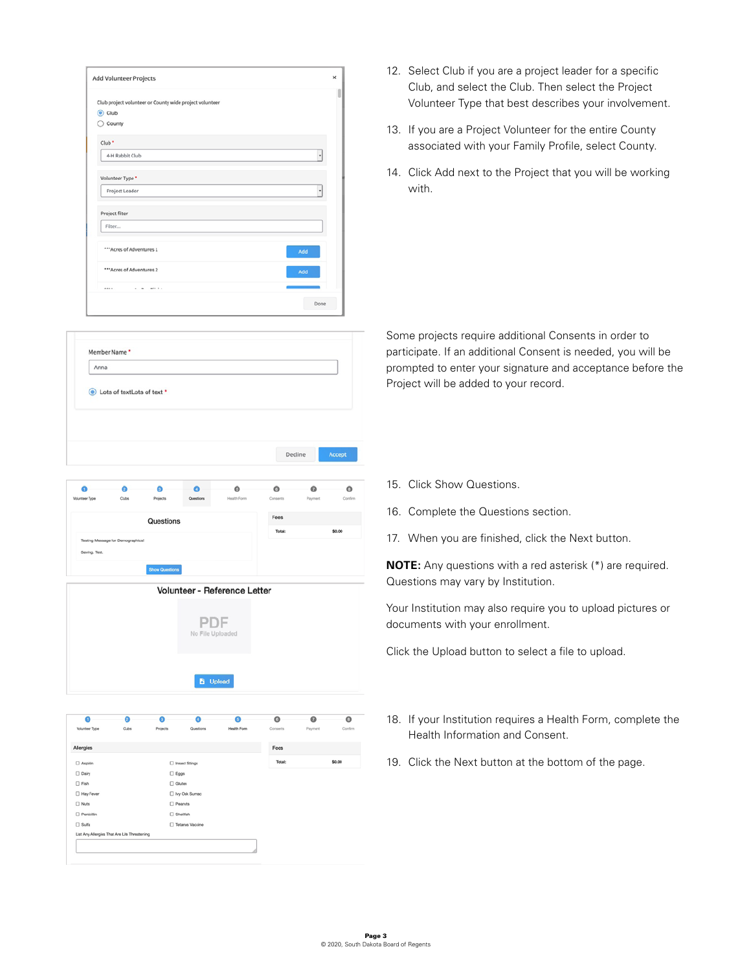| $^\ast$ |
|---------|
|         |
| ٠       |
|         |
| Add     |
| Add     |
|         |
| Done    |
|         |

- Member Name \* Anna **O** Lots of textLots of text \* Decline Accept  $\ddot{\mathbf{o}}$ Ō Ō  $\bullet$ Ō  $\circ$  $\ddot{\mathbf{0}}$  $\ddot{\text{o}}$  $\sim$
- Fees Questions Saving, Test.
- Volunteer Reference Letter PDF No File Uploaded **b** Upload



- 12. Select Club if you are a project leader for a specific Club, and select the Club. Then select the Project Volunteer Type that best describes your involvement.
- 13. If you are a Project Volunteer for the entire County associated with your Family Profile, select County.
- 14. Click Add next to the Project that you will be working with.

Some projects require additional Consents in order to participate. If an additional Consent is needed, you will be prompted to enter your signature and acceptance before the Project will be added to your record.

- 15. Click Show Questions.
- 16. Complete the Questions section.
- 17. When you are finished, click the Next button.

**NOTE:** Any questions with a red asterisk (\*) are required. Questions may vary by Institution.

Your Institution may also require you to upload pictures or documents with your enrollment.

Click the Upload button to select a file to upload.

- 18. If your Institution requires a Health Form, complete the Health Information and Consent.
- 19. Click the Next button at the bottom of the page.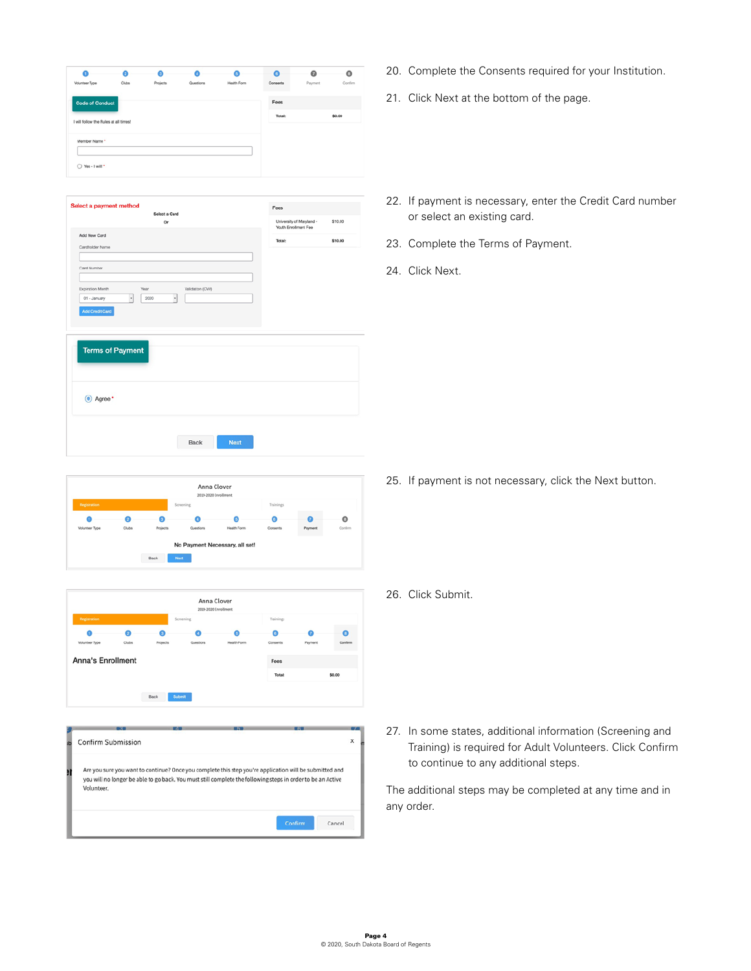| Select a Card                   |                 | Fees                                             |         |
|---------------------------------|-----------------|--------------------------------------------------|---------|
| Or                              |                 | University of Maryland -<br>Youth Enrollment Fee | \$10.00 |
| Add New Card                    |                 | Total:                                           | \$10.00 |
| Cardholder Name                 |                 |                                                  |         |
| Card Number                     |                 |                                                  |         |
| Expiration Month<br>Year        | WO) noitebility |                                                  |         |
| $\cdot$<br>01 - January<br>2020 | $\cdot$         |                                                  |         |
| Add Credit Card                 |                 |                                                  |         |
|                                 |                 |                                                  |         |
|                                 |                 |                                                  |         |
| <b>Terms of Payment</b>         |                 |                                                  |         |
|                                 |                 |                                                  |         |
|                                 |                 |                                                  |         |
| (c) Agree                       |                 |                                                  |         |
|                                 |                 |                                                  |         |
|                                 |                 |                                                  |         |
|                                 |                 |                                                  |         |

Anna Clover  $\bullet$  $\bullet$  $\bullet$  $\circ$  $\bullet$  $\bullet$ Clubs No Payment Necessary, all set! Back Nast



| ib | Confirm Submission                                                                                                                                                                                                                   | × |
|----|--------------------------------------------------------------------------------------------------------------------------------------------------------------------------------------------------------------------------------------|---|
| Ħ  | Are you sure you want to continue? Once you complete this step you're application will be submitted and<br>you will no longer be able to go back. You must still complete the following steps in order to be an Active<br>Volunteer. |   |
|    | Confirm<br>Cancel                                                                                                                                                                                                                    |   |

- 20. Complete the Consents required for your Institution.
- 21. Click Next at the bottom of the page.
- 22. If payment is necessary, enter the Credit Card number or select an existing card.
- 23. Complete the Terms of Payment.
- 24. Click Next.

25. If payment is not necessary, click the Next button.

26. Click Submit.

27. In some states, additional information (Screening and Training) is required for Adult Volunteers. Click Confirm to continue to any additional steps.

The additional steps may be completed at any time and in any order.